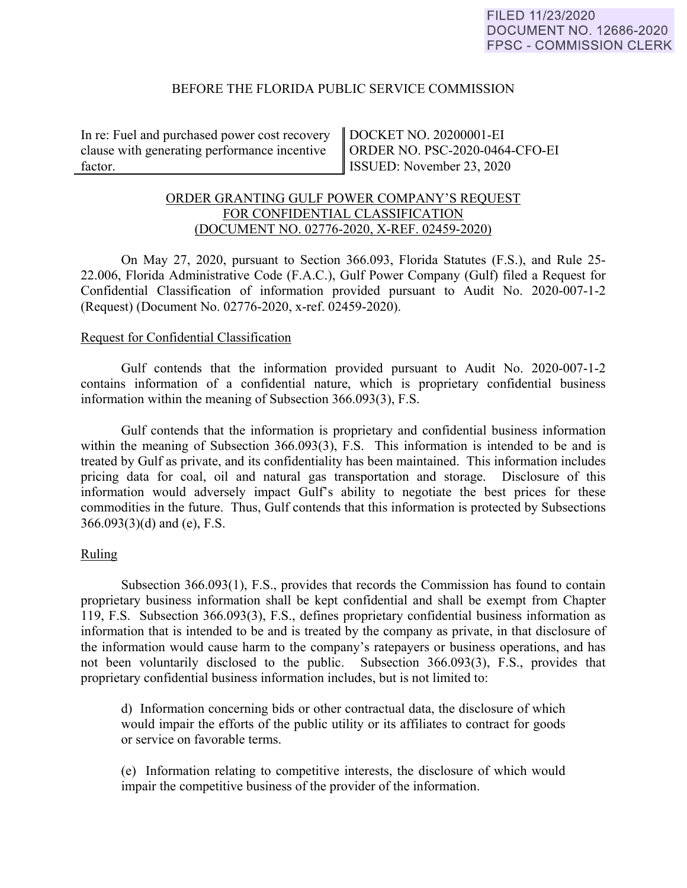# BEFORE THE FLORIDA PUBLIC SERVICE COMMISSION

In re: Fuel and purchased power cost recovery clause with generating performance incentive factor.

DOCKET NO. 20200001-EI ORDER NO. PSC-2020-0464-CFO-EI ISSUED: November 23, 2020

# ORDER GRANTING GULF POWER COMPANY'S REQUEST FOR CONFIDENTIAL CLASSIFICATION (DOCUMENT NO. 02776-2020, X-REF. 02459-2020)

On May 27, 2020, pursuant to Section 366.093, Florida Statutes (F.S.), and Rule 25- 22.006, Florida Administrative Code (F.A.C.), Gulf Power Company (Gulf) filed a Request for Confidential Classification of information provided pursuant to Audit No. 2020-007-1-2 (Request) (Document No. 02776-2020, x-ref. 02459-2020).

#### Request for Confidential Classification

Gulf contends that the information provided pursuant to Audit No. 2020-007-1-2 contains information of a confidential nature, which is proprietary confidential business information within the meaning of Subsection 366.093(3), F.S.

Gulf contends that the information is proprietary and confidential business information within the meaning of Subsection 366.093(3), F.S. This information is intended to be and is treated by Gulf as private, and its confidentiality has been maintained. This information includes pricing data for coal, oil and natural gas transportation and storage. Disclosure of this information would adversely impact Gulf's ability to negotiate the best prices for these commodities in the future. Thus, Gulf contends that this information is protected by Subsections 366.093(3)(d) and (e), F.S.

#### Ruling

Subsection 366.093(1), F.S., provides that records the Commission has found to contain proprietary business information shall be kept confidential and shall be exempt from Chapter 119, F.S. Subsection 366.093(3), F.S., defines proprietary confidential business information as information that is intended to be and is treated by the company as private, in that disclosure of the information would cause harm to the company's ratepayers or business operations, and has not been voluntarily disclosed to the public. Subsection 366.093(3), F.S., provides that proprietary confidential business information includes, but is not limited to:

d) Information concerning bids or other contractual data, the disclosure of which would impair the efforts of the public utility or its affiliates to contract for goods or service on favorable terms.

(e) Information relating to competitive interests, the disclosure of which would impair the competitive business of the provider of the information.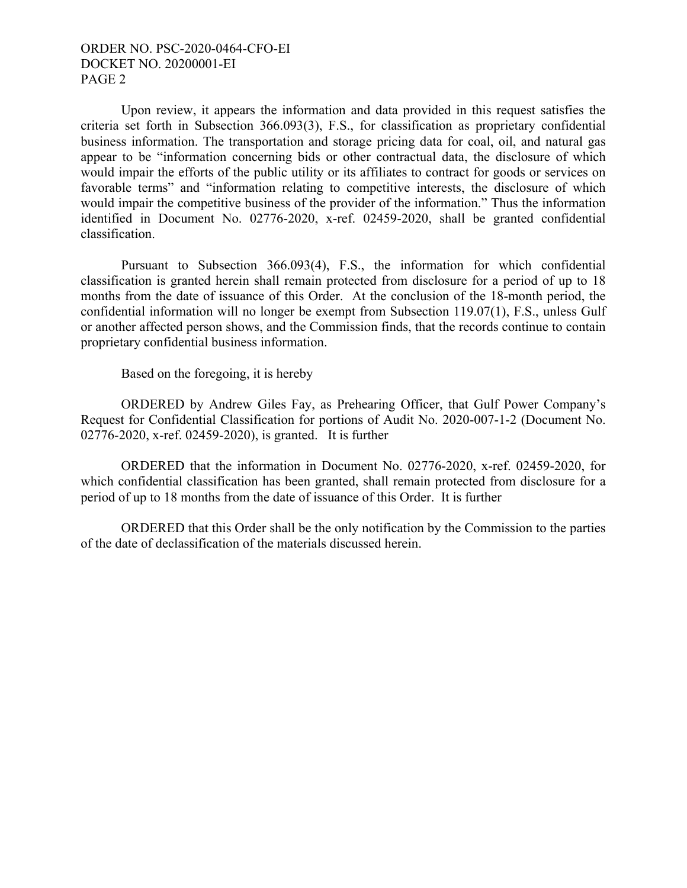# ORDER NO. PSC-2020-0464-CFO-EI DOCKET NO. 20200001-EI PAGE 2

Upon review, it appears the information and data provided in this request satisfies the criteria set forth in Subsection 366.093(3), F.S., for classification as proprietary confidential business information. The transportation and storage pricing data for coal, oil, and natural gas appear to be "information concerning bids or other contractual data, the disclosure of which would impair the efforts of the public utility or its affiliates to contract for goods or services on favorable terms" and "information relating to competitive interests, the disclosure of which would impair the competitive business of the provider of the information." Thus the information identified in Document No. 02776-2020, x-ref. 02459-2020, shall be granted confidential classification.

Pursuant to Subsection 366.093(4), F.S., the information for which confidential classification is granted herein shall remain protected from disclosure for a period of up to 18 months from the date of issuance of this Order. At the conclusion of the 18-month period, the confidential information will no longer be exempt from Subsection 119.07(1), F.S., unless Gulf or another affected person shows, and the Commission finds, that the records continue to contain proprietary confidential business information.

Based on the foregoing, it is hereby

ORDERED by Andrew Giles Fay, as Prehearing Officer, that Gulf Power Company's Request for Confidential Classification for portions of Audit No. 2020-007-1-2 (Document No. 02776-2020, x-ref. 02459-2020), is granted. It is further

ORDERED that the information in Document No. 02776-2020, x-ref. 02459-2020, for which confidential classification has been granted, shall remain protected from disclosure for a period of up to 18 months from the date of issuance of this Order. It is further

ORDERED that this Order shall be the only notification by the Commission to the parties of the date of declassification of the materials discussed herein.